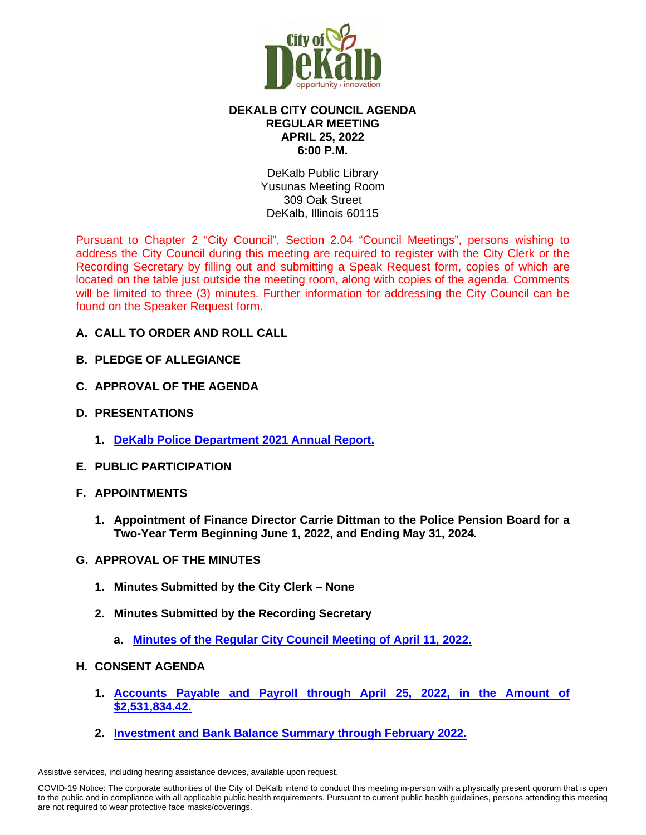

# **DEKALB CITY COUNCIL AGENDA REGULAR MEETING APRIL 25, 2022 6:00 P.M.**

DeKalb Public Library Yusunas Meeting Room 309 Oak Street DeKalb, Illinois 60115

Pursuant to Chapter 2 "City Council", Section 2.04 "Council Meetings", persons wishing to address the City Council during this meeting are required to register with the City Clerk or the Recording Secretary by filling out and submitting a Speak Request form, copies of which are located on the table just outside the meeting room, along with copies of the agenda. Comments will be limited to three (3) minutes. Further information for addressing the City Council can be found on the Speaker Request form.

- **A. CALL TO ORDER AND ROLL CALL**
- **B. PLEDGE OF ALLEGIANCE**
- **C. APPROVAL OF THE AGENDA**
- **D. PRESENTATIONS**
	- **1. [DeKalb Police Department 2021 Annual Report.](https://www.cityofdekalb.com/DocumentCenter/View/13799/2-DPD-2021-Annual-Rpt)**
- **E. PUBLIC PARTICIPATION**
- **F. APPOINTMENTS**
	- **1. Appointment of Finance Director Carrie Dittman to the Police Pension Board for a Two-Year Term Beginning June 1, 2022, and Ending May 31, 2024.**
- **G. APPROVAL OF THE MINUTES**
	- **1. Minutes Submitted by the City Clerk None**
	- **2. Minutes Submitted by the Recording Secretary**
		- **a. [Minutes of the Regular City Council Meeting of April 11, 2022.](https://www.cityofdekalb.com/DocumentCenter/View/13800/3-041122-Regular-Minutes)**

# **H. CONSENT AGENDA**

- **1. [Accounts Payable and Payroll through April 25, 2022, in the Amount of](https://www.cityofdekalb.com/DocumentCenter/View/13801/4-042522-APP)  [\\$2,531,834.42.](https://www.cityofdekalb.com/DocumentCenter/View/13801/4-042522-APP)**
- **2. [Investment and Bank Balance Summary through February](https://www.cityofdekalb.com/DocumentCenter/View/13802/5-IBB---Feb-2022) 2022.**

Assistive services, including hearing assistance devices, available upon request.

COVID-19 Notice: The corporate authorities of the City of DeKalb intend to conduct this meeting in-person with a physically present quorum that is open to the public and in compliance with all applicable public health requirements. Pursuant to current public health guidelines, persons attending this meeting are not required to wear protective face masks/coverings.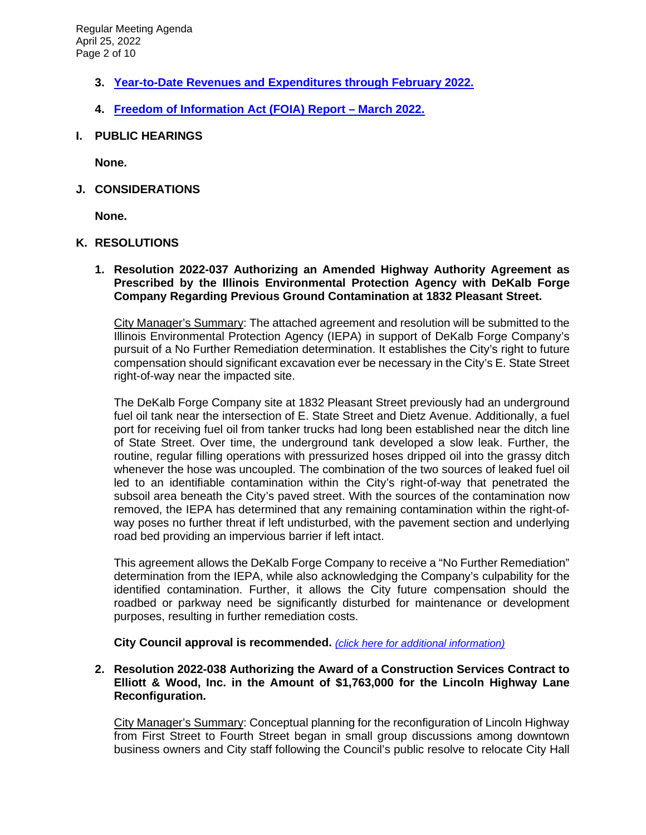- **3. [Year-to-Date Revenues and Expenditures through February 2022.](https://www.cityofdekalb.com/DocumentCenter/View/13803/6-YTD-Rev-Exp---Feb-2022)**
- **4. [Freedom of Information Act \(FOIA\) Report March 2022.](https://www.cityofdekalb.com/DocumentCenter/View/13804/7-FOIA-Rpt---March-2022)**
- **I. PUBLIC HEARINGS**

**None.**

**J. CONSIDERATIONS**

**None.**

### **K. RESOLUTIONS**

**1. Resolution 2022-037 Authorizing an Amended Highway Authority Agreement as Prescribed by the Illinois Environmental Protection Agency with DeKalb Forge Company Regarding Previous Ground Contamination at 1832 Pleasant Street.**

City Manager's Summary: The attached agreement and resolution will be submitted to the Illinois Environmental Protection Agency (IEPA) in support of DeKalb Forge Company's pursuit of a No Further Remediation determination. It establishes the City's right to future compensation should significant excavation ever be necessary in the City's E. State Street right-of-way near the impacted site.

The DeKalb Forge Company site at 1832 Pleasant Street previously had an underground fuel oil tank near the intersection of E. State Street and Dietz Avenue. Additionally, a fuel port for receiving fuel oil from tanker trucks had long been established near the ditch line of State Street. Over time, the underground tank developed a slow leak. Further, the routine, regular filling operations with pressurized hoses dripped oil into the grassy ditch whenever the hose was uncoupled. The combination of the two sources of leaked fuel oil led to an identifiable contamination within the City's right-of-way that penetrated the subsoil area beneath the City's paved street. With the sources of the contamination now removed, the IEPA has determined that any remaining contamination within the right-ofway poses no further threat if left undisturbed, with the pavement section and underlying road bed providing an impervious barrier if left intact.

This agreement allows the DeKalb Forge Company to receive a "No Further Remediation" determination from the IEPA, while also acknowledging the Company's culpability for the identified contamination. Further, it allows the City future compensation should the roadbed or parkway need be significantly disturbed for maintenance or development purposes, resulting in further remediation costs.

**City Council approval is recommended.** *(click [here for additional information\)](https://www.cityofdekalb.com/DocumentCenter/View/13805/8-Res-2022-037)*

### **2. Resolution 2022-038 Authorizing the Award of a Construction Services Contract to Elliott & Wood, Inc. in the Amount of \$1,763,000 for the Lincoln Highway Lane Reconfiguration.**

City Manager's Summary: Conceptual planning for the reconfiguration of Lincoln Highway from First Street to Fourth Street began in small group discussions among downtown business owners and City staff following the Council's public resolve to relocate City Hall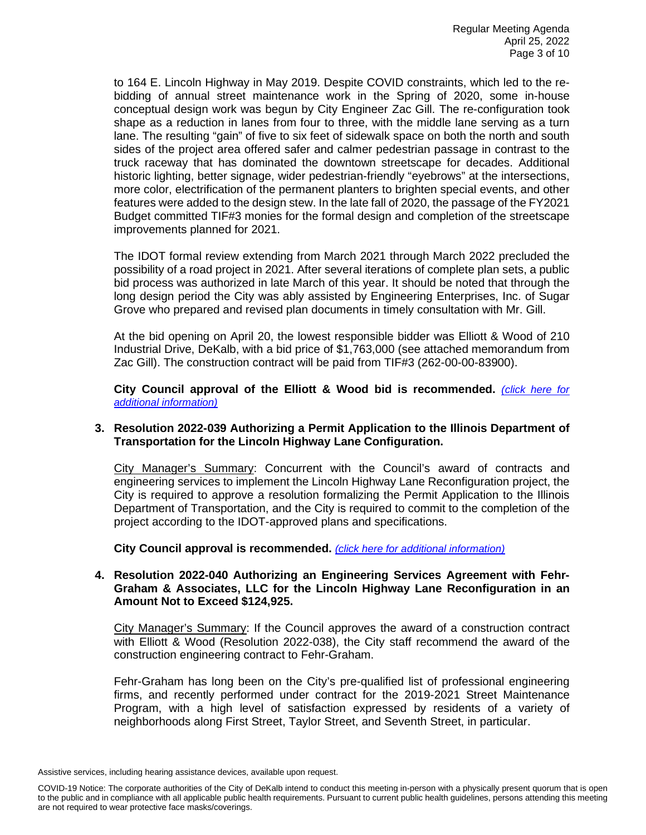to 164 E. Lincoln Highway in May 2019. Despite COVID constraints, which led to the rebidding of annual street maintenance work in the Spring of 2020, some in-house conceptual design work was begun by City Engineer Zac Gill. The re-configuration took shape as a reduction in lanes from four to three, with the middle lane serving as a turn lane. The resulting "gain" of five to six feet of sidewalk space on both the north and south sides of the project area offered safer and calmer pedestrian passage in contrast to the truck raceway that has dominated the downtown streetscape for decades. Additional historic lighting, better signage, wider pedestrian-friendly "eyebrows" at the intersections, more color, electrification of the permanent planters to brighten special events, and other features were added to the design stew. In the late fall of 2020, the passage of the FY2021 Budget committed TIF#3 monies for the formal design and completion of the streetscape improvements planned for 2021.

The IDOT formal review extending from March 2021 through March 2022 precluded the possibility of a road project in 2021. After several iterations of complete plan sets, a public bid process was authorized in late March of this year. It should be noted that through the long design period the City was ably assisted by Engineering Enterprises, Inc. of Sugar Grove who prepared and revised plan documents in timely consultation with Mr. Gill.

At the bid opening on April 20, the lowest responsible bidder was Elliott & Wood of 210 Industrial Drive, DeKalb, with a bid price of \$1,763,000 (see attached memorandum from Zac Gill). The construction contract will be paid from TIF#3 (262-00-00-83900).

**City Council approval of the Elliott & Wood bid is recommended.** *[\(click here for](https://www.cityofdekalb.com/DocumentCenter/View/13806/9-Res-2022-038)  [additional information\)](https://www.cityofdekalb.com/DocumentCenter/View/13806/9-Res-2022-038)*

### **3. Resolution 2022-039 Authorizing a Permit Application to the Illinois Department of Transportation for the Lincoln Highway Lane Configuration.**

City Manager's Summary: Concurrent with the Council's award of contracts and engineering services to implement the Lincoln Highway Lane Reconfiguration project, the City is required to approve a resolution formalizing the Permit Application to the Illinois Department of Transportation, and the City is required to commit to the completion of the project according to the IDOT-approved plans and specifications.

**City Council approval is recommended.** *[\(click here for additional information\)](https://www.cityofdekalb.com/DocumentCenter/View/13807/10-Res-2022-039)*

#### **4. Resolution 2022-040 Authorizing an Engineering Services Agreement with Fehr-Graham & Associates, LLC for the Lincoln Highway Lane Reconfiguration in an Amount Not to Exceed \$124,925.**

City Manager's Summary: If the Council approves the award of a construction contract with Elliott & Wood (Resolution 2022-038), the City staff recommend the award of the construction engineering contract to Fehr-Graham.

Fehr-Graham has long been on the City's pre-qualified list of professional engineering firms, and recently performed under contract for the 2019-2021 Street Maintenance Program, with a high level of satisfaction expressed by residents of a variety of neighborhoods along First Street, Taylor Street, and Seventh Street, in particular.

Assistive services, including hearing assistance devices, available upon request.

COVID-19 Notice: The corporate authorities of the City of DeKalb intend to conduct this meeting in-person with a physically present quorum that is open to the public and in compliance with all applicable public health requirements. Pursuant to current public health guidelines, persons attending this meeting are not required to wear protective face masks/coverings.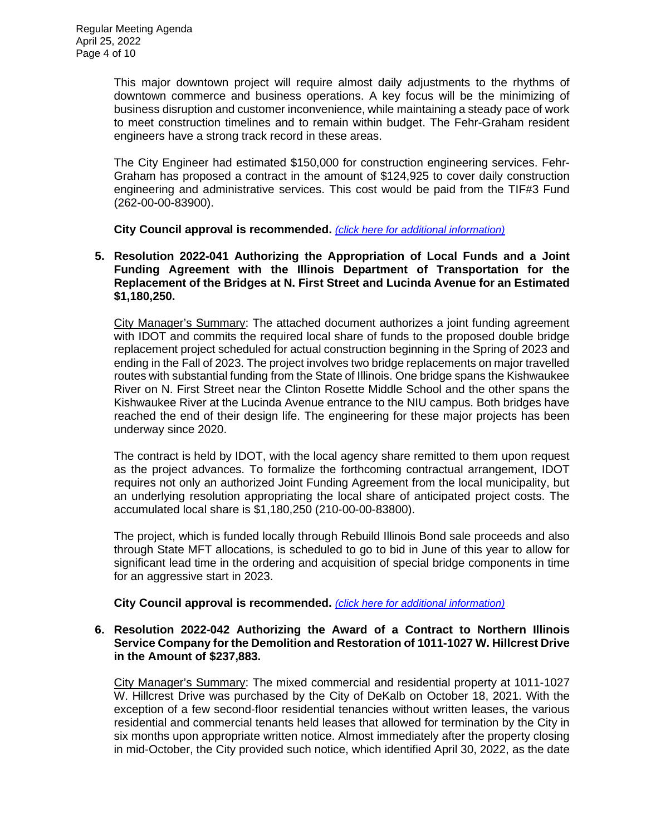This major downtown project will require almost daily adjustments to the rhythms of downtown commerce and business operations. A key focus will be the minimizing of business disruption and customer inconvenience, while maintaining a steady pace of work to meet construction timelines and to remain within budget. The Fehr-Graham resident engineers have a strong track record in these areas.

The City Engineer had estimated \$150,000 for construction engineering services. Fehr-Graham has proposed a contract in the amount of \$124,925 to cover daily construction engineering and administrative services. This cost would be paid from the TIF#3 Fund (262-00-00-83900).

**City Council approval is recommended.** *[\(click here for additional information\)](https://www.cityofdekalb.com/DocumentCenter/View/13808/11-Res-2022-040)*

**5. Resolution 2022-041 Authorizing the Appropriation of Local Funds and a Joint Funding Agreement with the Illinois Department of Transportation for the Replacement of the Bridges at N. First Street and Lucinda Avenue for an Estimated \$1,180,250.**

City Manager's Summary: The attached document authorizes a joint funding agreement with IDOT and commits the required local share of funds to the proposed double bridge replacement project scheduled for actual construction beginning in the Spring of 2023 and ending in the Fall of 2023. The project involves two bridge replacements on major travelled routes with substantial funding from the State of Illinois. One bridge spans the Kishwaukee River on N. First Street near the Clinton Rosette Middle School and the other spans the Kishwaukee River at the Lucinda Avenue entrance to the NIU campus. Both bridges have reached the end of their design life. The engineering for these major projects has been underway since 2020.

The contract is held by IDOT, with the local agency share remitted to them upon request as the project advances. To formalize the forthcoming contractual arrangement, IDOT requires not only an authorized Joint Funding Agreement from the local municipality, but an underlying resolution appropriating the local share of anticipated project costs. The accumulated local share is \$1,180,250 (210-00-00-83800).

The project, which is funded locally through Rebuild Illinois Bond sale proceeds and also through State MFT allocations, is scheduled to go to bid in June of this year to allow for significant lead time in the ordering and acquisition of special bridge components in time for an aggressive start in 2023.

# **City Council approval is recommended.** *[\(click here for additional information\)](https://www.cityofdekalb.com/DocumentCenter/View/13809/12-Res-2022-041)*

#### **6. Resolution 2022-042 Authorizing the Award of a Contract to Northern Illinois Service Company for the Demolition and Restoration of 1011-1027 W. Hillcrest Drive in the Amount of \$237,883.**

City Manager's Summary: The mixed commercial and residential property at 1011-1027 W. Hillcrest Drive was purchased by the City of DeKalb on October 18, 2021. With the exception of a few second-floor residential tenancies without written leases, the various residential and commercial tenants held leases that allowed for termination by the City in six months upon appropriate written notice. Almost immediately after the property closing in mid-October, the City provided such notice, which identified April 30, 2022, as the date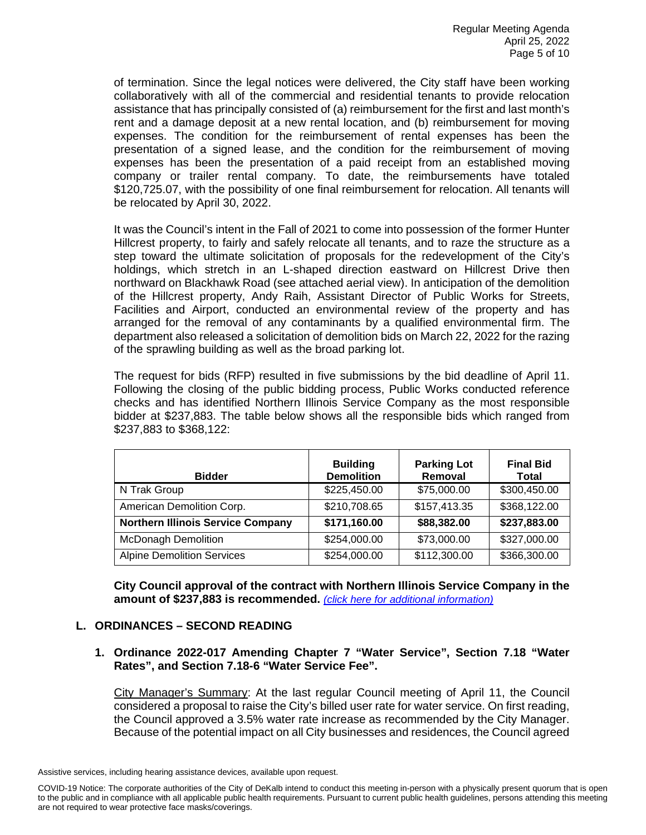of termination. Since the legal notices were delivered, the City staff have been working collaboratively with all of the commercial and residential tenants to provide relocation assistance that has principally consisted of (a) reimbursement for the first and last month's rent and a damage deposit at a new rental location, and (b) reimbursement for moving expenses. The condition for the reimbursement of rental expenses has been the presentation of a signed lease, and the condition for the reimbursement of moving expenses has been the presentation of a paid receipt from an established moving company or trailer rental company. To date, the reimbursements have totaled \$120,725.07, with the possibility of one final reimbursement for relocation. All tenants will be relocated by April 30, 2022.

It was the Council's intent in the Fall of 2021 to come into possession of the former Hunter Hillcrest property, to fairly and safely relocate all tenants, and to raze the structure as a step toward the ultimate solicitation of proposals for the redevelopment of the City's holdings, which stretch in an L-shaped direction eastward on Hillcrest Drive then northward on Blackhawk Road (see attached aerial view). In anticipation of the demolition of the Hillcrest property, Andy Raih, Assistant Director of Public Works for Streets, Facilities and Airport, conducted an environmental review of the property and has arranged for the removal of any contaminants by a qualified environmental firm. The department also released a solicitation of demolition bids on March 22, 2022 for the razing of the sprawling building as well as the broad parking lot.

The request for bids (RFP) resulted in five submissions by the bid deadline of April 11. Following the closing of the public bidding process, Public Works conducted reference checks and has identified Northern Illinois Service Company as the most responsible bidder at \$237,883. The table below shows all the responsible bids which ranged from \$237,883 to \$368,122:

| <b>Bidder</b>                            | <b>Building</b><br><b>Demolition</b> | <b>Parking Lot</b><br>Removal | <b>Final Bid</b><br><b>Total</b> |
|------------------------------------------|--------------------------------------|-------------------------------|----------------------------------|
| N Trak Group                             | \$225,450.00                         | \$75,000.00                   | \$300,450.00                     |
| American Demolition Corp.                | \$210,708.65                         | \$157,413.35                  | \$368,122.00                     |
| <b>Northern Illinois Service Company</b> | \$171,160.00                         | \$88,382.00                   | \$237,883.00                     |
| <b>McDonagh Demolition</b>               | \$254,000.00                         | \$73,000.00                   | \$327,000.00                     |
| <b>Alpine Demolition Services</b>        | \$254,000.00                         | \$112,300.00                  | \$366,300.00                     |

**City Council approval of the contract with Northern Illinois Service Company in the amount of \$237,883 is recommended.** *[\(click here for additional information\)](https://www.cityofdekalb.com/DocumentCenter/View/13810/13-Res-2022-042)*

# **L. ORDINANCES – SECOND READING**

### **1. Ordinance 2022-017 Amending Chapter 7 "Water Service", Section 7.18 "Water Rates", and Section 7.18-6 "Water Service Fee".**

City Manager's Summary: At the last regular Council meeting of April 11, the Council considered a proposal to raise the City's billed user rate for water service. On first reading, the Council approved a 3.5% water rate increase as recommended by the City Manager. Because of the potential impact on all City businesses and residences, the Council agreed

Assistive services, including hearing assistance devices, available upon request.

COVID-19 Notice: The corporate authorities of the City of DeKalb intend to conduct this meeting in-person with a physically present quorum that is open to the public and in compliance with all applicable public health requirements. Pursuant to current public health guidelines, persons attending this meeting are not required to wear protective face masks/coverings.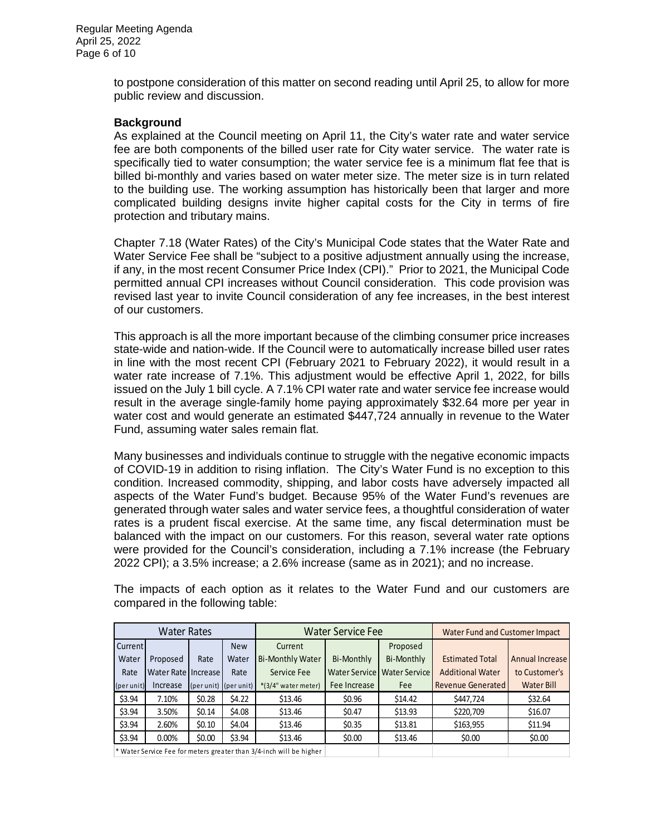to postpone consideration of this matter on second reading until April 25, to allow for more public review and discussion.

#### **Background**

As explained at the Council meeting on April 11, the City's water rate and water service fee are both components of the billed user rate for City water service. The water rate is specifically tied to water consumption; the water service fee is a minimum flat fee that is billed bi-monthly and varies based on water meter size. The meter size is in turn related to the building use. The working assumption has historically been that larger and more complicated building designs invite higher capital costs for the City in terms of fire protection and tributary mains.

Chapter 7.18 (Water Rates) of the City's Municipal Code states that the Water Rate and Water Service Fee shall be "subject to a positive adjustment annually using the increase, if any, in the most recent Consumer Price Index (CPI)." Prior to 2021, the Municipal Code permitted annual CPI increases without Council consideration. This code provision was revised last year to invite Council consideration of any fee increases, in the best interest of our customers.

This approach is all the more important because of the climbing consumer price increases state-wide and nation-wide. If the Council were to automatically increase billed user rates in line with the most recent CPI (February 2021 to February 2022), it would result in a water rate increase of 7.1%. This adjustment would be effective April 1, 2022, for bills issued on the July 1 bill cycle. A 7.1% CPI water rate and water service fee increase would result in the average single-family home paying approximately \$32.64 more per year in water cost and would generate an estimated \$447,724 annually in revenue to the Water Fund, assuming water sales remain flat.

Many businesses and individuals continue to struggle with the negative economic impacts of COVID-19 in addition to rising inflation. The City's Water Fund is no exception to this condition. Increased commodity, shipping, and labor costs have adversely impacted all aspects of the Water Fund's budget. Because 95% of the Water Fund's revenues are generated through water sales and water service fees, a thoughtful consideration of water rates is a prudent fiscal exercise. At the same time, any fiscal determination must be balanced with the impact on our customers. For this reason, several water rate options were provided for the Council's consideration, including a 7.1% increase (the February 2022 CPI); a 3.5% increase; a 2.6% increase (same as in 2021); and no increase.

| <b>Water Rates</b>                                                  |                     |                                           | Water Service Fee |                         |              | Water Fund and Customer Impact |                          |                   |
|---------------------------------------------------------------------|---------------------|-------------------------------------------|-------------------|-------------------------|--------------|--------------------------------|--------------------------|-------------------|
| Current                                                             |                     |                                           | <b>New</b>        | Current                 |              | Proposed                       |                          |                   |
| Water                                                               | Proposed            | Rate                                      | Water             | <b>Bi-Monthly Water</b> | Bi-Monthly   | Bi-Monthly                     | <b>Estimated Total</b>   | Annual Increase   |
| Rate                                                                | Water Rate Increase |                                           | Rate              | Service Fee             |              | Water Service   Water Service  | <b>Additional Water</b>  | to Customer's     |
| (per unit)                                                          | Increase            | ${\rm (per\, unit)}$ ${\rm (per\, unit)}$ |                   | *(3/4" water meter)     | Fee Increase | Fee                            | <b>Revenue Generated</b> | <b>Water Bill</b> |
| \$3.94                                                              | 7.10%               | \$0.28                                    | \$4.22            | \$13.46                 | \$0.96       | \$14.42                        | \$447,724                | \$32.64           |
| \$3.94                                                              | 3.50%               | \$0.14                                    | \$4.08            | \$13.46                 | \$0.47       | \$13.93                        | \$220,709                | \$16.07           |
| \$3.94                                                              | 2.60%               | \$0.10                                    | \$4.04            | \$13.46                 | \$0.35       | \$13.81                        | \$163,955                | \$11.94           |
| \$3.94                                                              | 0.00%               | \$0.00                                    | \$3.94            | \$13.46                 | \$0.00       | \$13.46                        | \$0.00                   | \$0.00            |
| * Water Service Fee for meters greater than 3/4-inch will be higher |                     |                                           |                   |                         |              |                                |                          |                   |

The impacts of each option as it relates to the Water Fund and our customers are compared in the following table: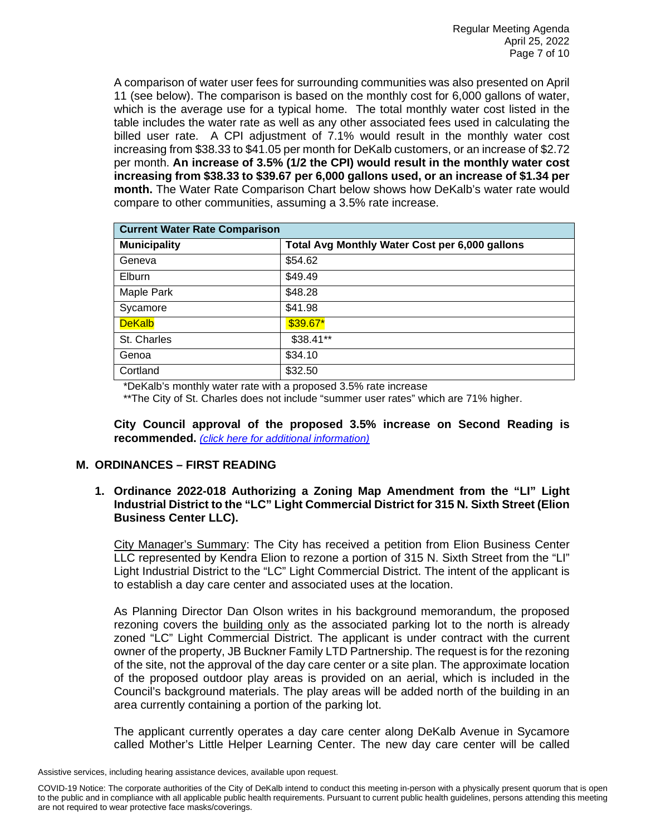A comparison of water user fees for surrounding communities was also presented on April 11 (see below). The comparison is based on the monthly cost for 6,000 gallons of water, which is the average use for a typical home. The total monthly water cost listed in the table includes the water rate as well as any other associated fees used in calculating the billed user rate. A CPI adjustment of 7.1% would result in the monthly water cost increasing from \$38.33 to \$41.05 per month for DeKalb customers, or an increase of \$2.72 per month. **An increase of 3.5% (1/2 the CPI) would result in the monthly water cost increasing from \$38.33 to \$39.67 per 6,000 gallons used, or an increase of \$1.34 per month.** The Water Rate Comparison Chart below shows how DeKalb's water rate would compare to other communities, assuming a 3.5% rate increase.

| <b>Current Water Rate Comparison</b> |                                                |  |  |  |
|--------------------------------------|------------------------------------------------|--|--|--|
| <b>Municipality</b>                  | Total Avg Monthly Water Cost per 6,000 gallons |  |  |  |
| Geneva                               | \$54.62                                        |  |  |  |
| Elburn                               | \$49.49                                        |  |  |  |
| Maple Park                           | \$48.28                                        |  |  |  |
| Sycamore                             | \$41.98                                        |  |  |  |
| <b>DeKalb</b>                        | $$39.67*$                                      |  |  |  |
| St. Charles                          | \$38.41**                                      |  |  |  |
| Genoa                                | \$34.10                                        |  |  |  |
| Cortland                             | \$32.50                                        |  |  |  |

\*DeKalb's monthly water rate with a proposed 3.5% rate increase

\*\*The City of St. Charles does not include "summer user rates" which are 71% higher.

**City Council approval of the proposed 3.5% increase on Second Reading is recommended.** *[\(click here for additional information\)](https://www.cityofdekalb.com/DocumentCenter/View/13811/14-Ord-2022-017)*

# **M. ORDINANCES – FIRST READING**

**1. Ordinance 2022-018 Authorizing a Zoning Map Amendment from the "LI" Light Industrial District to the "LC" Light Commercial District for 315 N. Sixth Street (Elion Business Center LLC).**

City Manager's Summary: The City has received a petition from Elion Business Center LLC represented by Kendra Elion to rezone a portion of 315 N. Sixth Street from the "LI" Light Industrial District to the "LC" Light Commercial District. The intent of the applicant is to establish a day care center and associated uses at the location.

As Planning Director Dan Olson writes in his background memorandum, the proposed rezoning covers the building only as the associated parking lot to the north is already zoned "LC" Light Commercial District. The applicant is under contract with the current owner of the property, JB Buckner Family LTD Partnership. The request is for the rezoning of the site, not the approval of the day care center or a site plan. The approximate location of the proposed outdoor play areas is provided on an aerial, which is included in the Council's background materials. The play areas will be added north of the building in an area currently containing a portion of the parking lot.

The applicant currently operates a day care center along DeKalb Avenue in Sycamore called Mother's Little Helper Learning Center. The new day care center will be called

Assistive services, including hearing assistance devices, available upon request.

COVID-19 Notice: The corporate authorities of the City of DeKalb intend to conduct this meeting in-person with a physically present quorum that is open to the public and in compliance with all applicable public health requirements. Pursuant to current public health guidelines, persons attending this meeting are not required to wear protective face masks/coverings.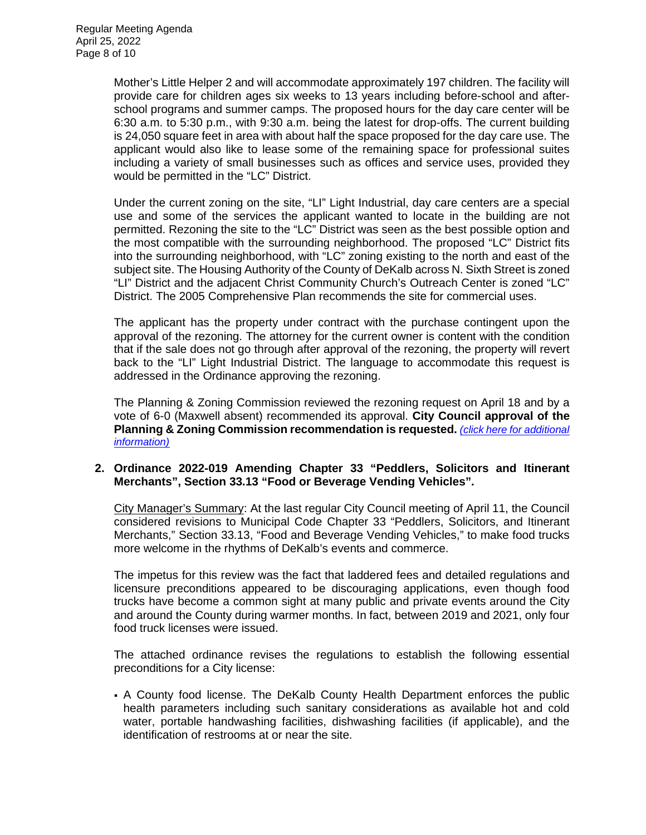Mother's Little Helper 2 and will accommodate approximately 197 children. The facility will provide care for children ages six weeks to 13 years including before-school and afterschool programs and summer camps. The proposed hours for the day care center will be 6:30 a.m. to 5:30 p.m., with 9:30 a.m. being the latest for drop-offs. The current building is 24,050 square feet in area with about half the space proposed for the day care use. The applicant would also like to lease some of the remaining space for professional suites including a variety of small businesses such as offices and service uses, provided they would be permitted in the "LC" District.

Under the current zoning on the site, "LI" Light Industrial, day care centers are a special use and some of the services the applicant wanted to locate in the building are not permitted. Rezoning the site to the "LC" District was seen as the best possible option and the most compatible with the surrounding neighborhood. The proposed "LC" District fits into the surrounding neighborhood, with "LC" zoning existing to the north and east of the subject site. The Housing Authority of the County of DeKalb across N. Sixth Street is zoned "LI" District and the adjacent Christ Community Church's Outreach Center is zoned "LC" District. The 2005 Comprehensive Plan recommends the site for commercial uses.

The applicant has the property under contract with the purchase contingent upon the approval of the rezoning. The attorney for the current owner is content with the condition that if the sale does not go through after approval of the rezoning, the property will revert back to the "LI" Light Industrial District. The language to accommodate this request is addressed in the Ordinance approving the rezoning.

The Planning & Zoning Commission reviewed the rezoning request on April 18 and by a vote of 6-0 (Maxwell absent) recommended its approval. **City Council approval of the Planning & Zoning Commission recommendation is requested.** *[\(click here for additional](https://www.cityofdekalb.com/DocumentCenter/View/13812/15-Ord-2022-018)  [information\)](https://www.cityofdekalb.com/DocumentCenter/View/13812/15-Ord-2022-018)*

### **2. Ordinance 2022-019 Amending Chapter 33 "Peddlers, Solicitors and Itinerant Merchants", Section 33.13 "Food or Beverage Vending Vehicles".**

City Manager's Summary: At the last regular City Council meeting of April 11, the Council considered revisions to Municipal Code Chapter 33 "Peddlers, Solicitors, and Itinerant Merchants," Section 33.13, "Food and Beverage Vending Vehicles," to make food trucks more welcome in the rhythms of DeKalb's events and commerce.

The impetus for this review was the fact that laddered fees and detailed regulations and licensure preconditions appeared to be discouraging applications, even though food trucks have become a common sight at many public and private events around the City and around the County during warmer months. In fact, between 2019 and 2021, only four food truck licenses were issued.

The attached ordinance revises the regulations to establish the following essential preconditions for a City license:

 A County food license. The DeKalb County Health Department enforces the public health parameters including such sanitary considerations as available hot and cold water, portable handwashing facilities, dishwashing facilities (if applicable), and the identification of restrooms at or near the site.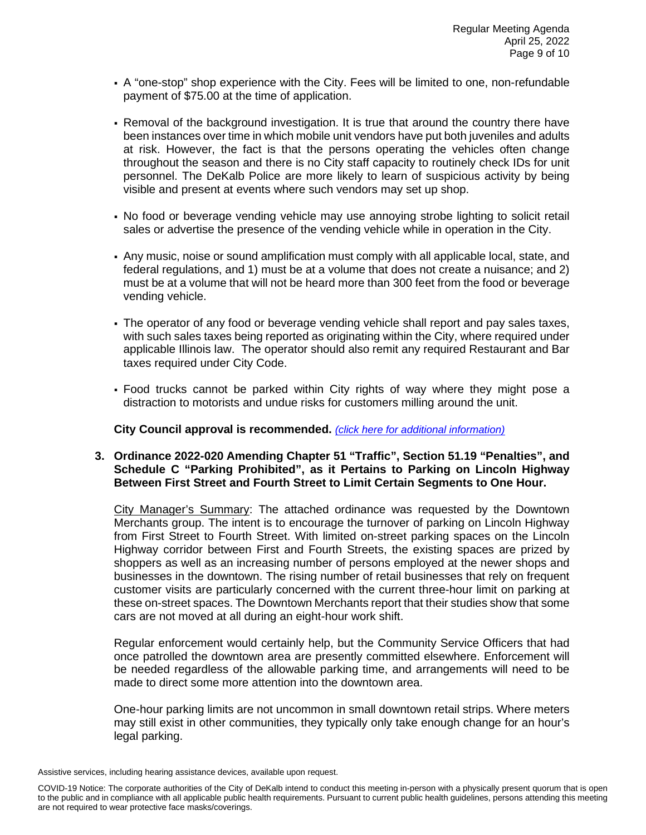- A "one-stop" shop experience with the City. Fees will be limited to one, non-refundable payment of \$75.00 at the time of application.
- Removal of the background investigation. It is true that around the country there have been instances over time in which mobile unit vendors have put both juveniles and adults at risk. However, the fact is that the persons operating the vehicles often change throughout the season and there is no City staff capacity to routinely check IDs for unit personnel. The DeKalb Police are more likely to learn of suspicious activity by being visible and present at events where such vendors may set up shop.
- No food or beverage vending vehicle may use annoying strobe lighting to solicit retail sales or advertise the presence of the vending vehicle while in operation in the City.
- Any music, noise or sound amplification must comply with all applicable local, state, and federal regulations, and 1) must be at a volume that does not create a nuisance; and 2) must be at a volume that will not be heard more than 300 feet from the food or beverage vending vehicle.
- The operator of any food or beverage vending vehicle shall report and pay sales taxes, with such sales taxes being reported as originating within the City, where required under applicable Illinois law. The operator should also remit any required Restaurant and Bar taxes required under City Code.
- Food trucks cannot be parked within City rights of way where they might pose a distraction to motorists and undue risks for customers milling around the unit.

# **City Council approval is recommended.** *[\(click here for additional information\)](https://www.cityofdekalb.com/DocumentCenter/View/13813/16-Ord-2022-019)*

### **3. Ordinance 2022-020 Amending Chapter 51 "Traffic", Section 51.19 "Penalties", and Schedule C "Parking Prohibited", as it Pertains to Parking on Lincoln Highway Between First Street and Fourth Street to Limit Certain Segments to One Hour.**

City Manager's Summary: The attached ordinance was requested by the Downtown Merchants group. The intent is to encourage the turnover of parking on Lincoln Highway from First Street to Fourth Street. With limited on-street parking spaces on the Lincoln Highway corridor between First and Fourth Streets, the existing spaces are prized by shoppers as well as an increasing number of persons employed at the newer shops and businesses in the downtown. The rising number of retail businesses that rely on frequent customer visits are particularly concerned with the current three-hour limit on parking at these on-street spaces. The Downtown Merchants report that their studies show that some cars are not moved at all during an eight-hour work shift.

Regular enforcement would certainly help, but the Community Service Officers that had once patrolled the downtown area are presently committed elsewhere. Enforcement will be needed regardless of the allowable parking time, and arrangements will need to be made to direct some more attention into the downtown area.

One-hour parking limits are not uncommon in small downtown retail strips. Where meters may still exist in other communities, they typically only take enough change for an hour's legal parking.

Assistive services, including hearing assistance devices, available upon request.

COVID-19 Notice: The corporate authorities of the City of DeKalb intend to conduct this meeting in-person with a physically present quorum that is open to the public and in compliance with all applicable public health requirements. Pursuant to current public health guidelines, persons attending this meeting are not required to wear protective face masks/coverings.